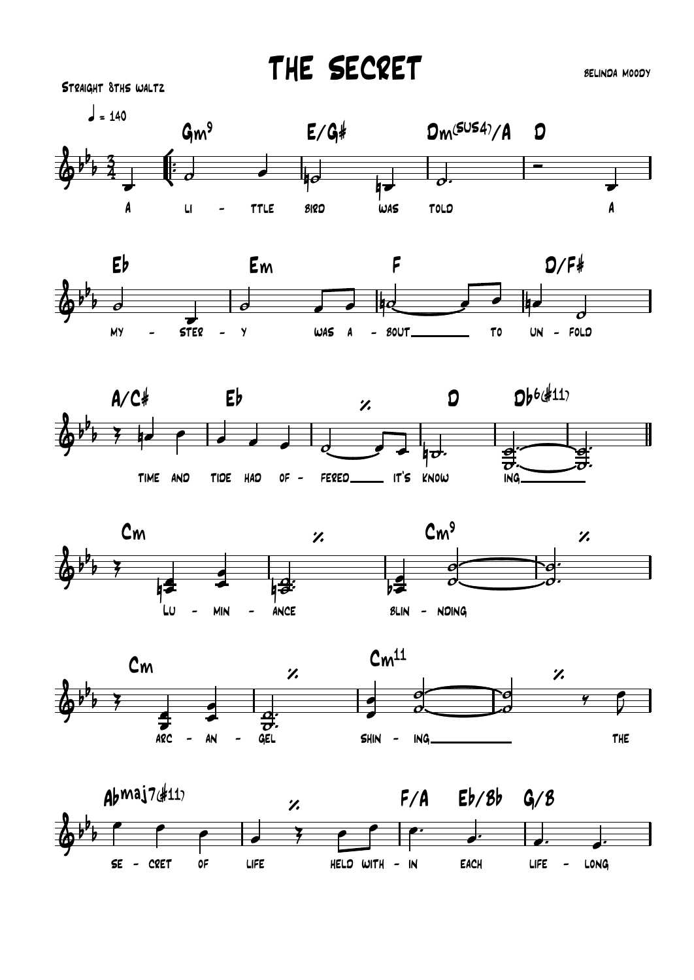THE SECRET

**SELINDA MOODY**